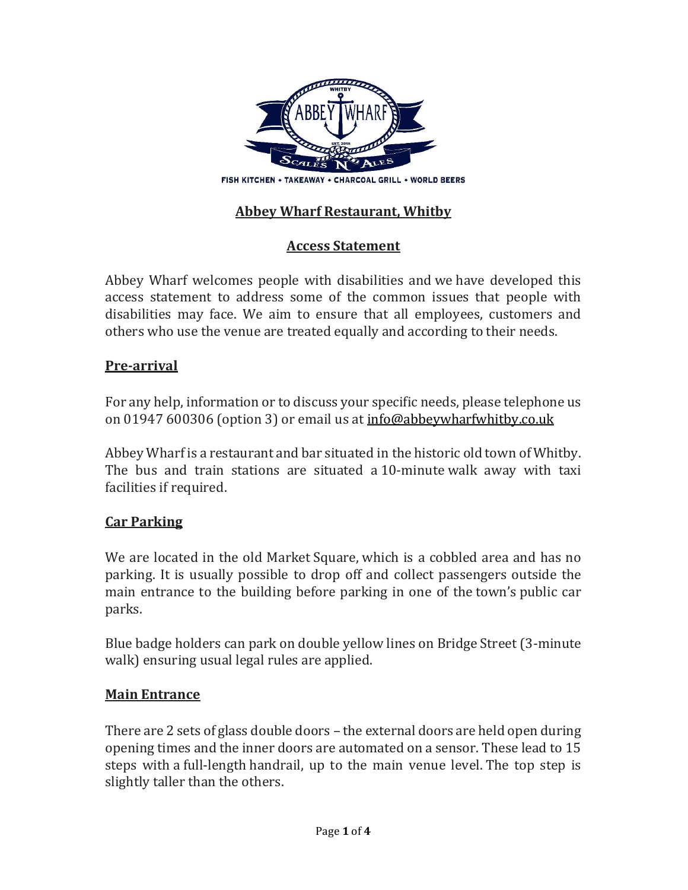

# Abbey Wharf Restaurant, Whitby

# Access Statement

Abbey Wharf welcomes people with disabilities and we have developed this access statement to address some of the common issues that people with disabilities may face. We aim to ensure that all employees, customers and others who use the venue are treated equally and according to their needs.

#### Pre-arrival

For any help, information or to discuss your specific needs, please telephone us on 01947 600306 (option 3) or email us at **info@abbeywharfwhitby.co.uk** 

Abbey Wharf is a restaurant and bar situated in the historic old town of Whitby. The bus and train stations are situated a 10-minute walk away with taxi facilities if required.

### Car Parking

We are located in the old Market Square, which is a cobbled area and has no parking. It is usually possible to drop off and collect passengers outside the main entrance to the building before parking in one of the town's public car parks.

Blue badge holders can park on double yellow lines on Bridge Street (3-minute walk) ensuring usual legal rules are applied.

### Main Entrance

There are 2 sets of glass double doors – the external doors are held open during opening times and the inner doors are automated on a sensor. These lead to 15 steps with a full-length handrail, up to the main venue level. The top step is slightly taller than the others.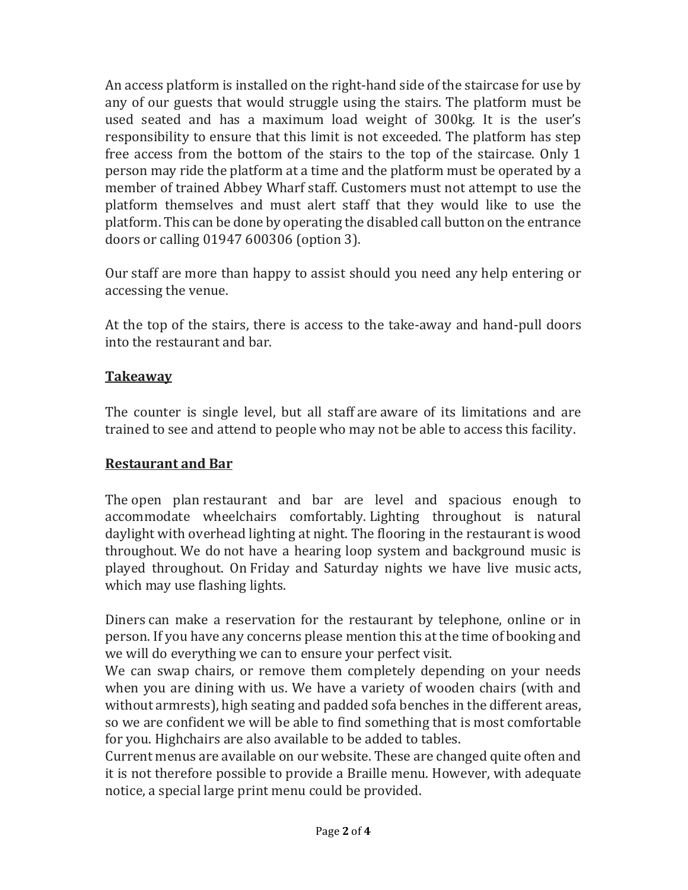An access platform is installed on the right-hand side of the staircase for use by any of our guests that would struggle using the stairs. The platform must be used seated and has a maximum load weight of 300kg. It is the user's responsibility to ensure that this limit is not exceeded. The platform has step free access from the bottom of the stairs to the top of the staircase. Only 1 person may ride the platform at a time and the platform must be operated by a member of trained Abbey Wharf staff. Customers must not attempt to use the platform themselves and must alert staff that they would like to use the platform. This can be done by operating the disabled call button on the entrance doors or calling 01947 600306 (option 3).

Our staff are more than happy to assist should you need any help entering or accessing the venue.

At the top of the stairs, there is access to the take-away and hand-pull doors into the restaurant and bar.

#### Takeaway

The counter is single level, but all staff are aware of its limitations and are trained to see and attend to people who may not be able to access this facility.

### Restaurant and Bar

The open plan restaurant and bar are level and spacious enough to accommodate wheelchairs comfortably. Lighting throughout is natural daylight with overhead lighting at night. The flooring in the restaurant is wood throughout. We do not have a hearing loop system and background music is played throughout. On Friday and Saturday nights we have live music acts, which may use flashing lights.

Diners can make a reservation for the restaurant by telephone, online or in person. If you have any concerns please mention this at the time of booking and we will do everything we can to ensure your perfect visit.

We can swap chairs, or remove them completely depending on your needs when you are dining with us. We have a variety of wooden chairs (with and without armrests), high seating and padded sofa benches in the different areas, so we are confident we will be able to find something that is most comfortable for you. Highchairs are also available to be added to tables.

Current menus are available on our website. These are changed quite often and it is not therefore possible to provide a Braille menu. However, with adequate notice, a special large print menu could be provided.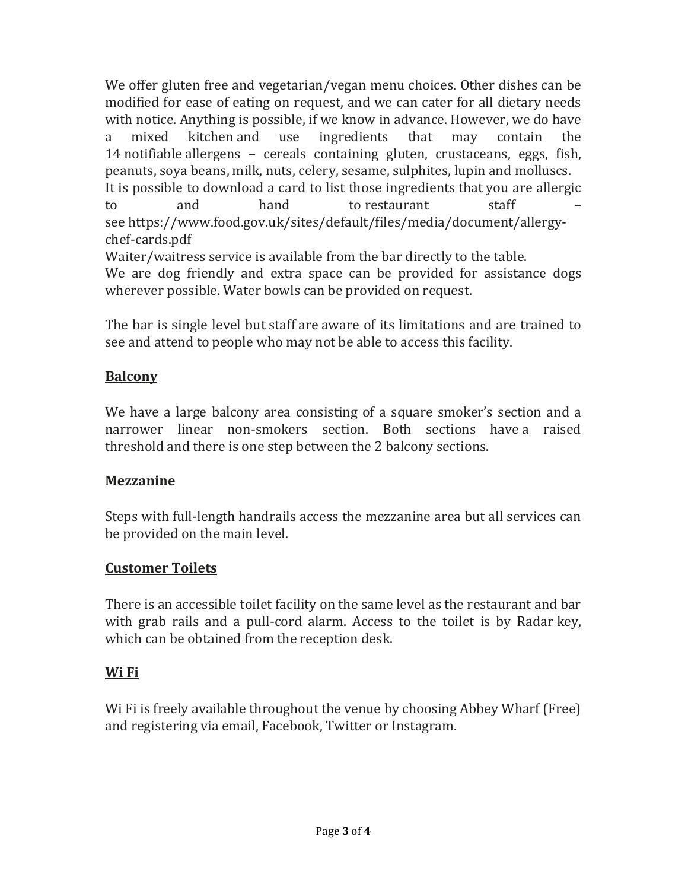We offer gluten free and vegetarian/vegan menu choices. Other dishes can be modified for ease of eating on request, and we can cater for all dietary needs with notice. Anything is possible, if we know in advance. However, we do have a mixed kitchen and use ingredients that may contain the 14 notifiable allergens – cereals containing gluten, crustaceans, eggs, fish, peanuts, soya beans, milk, nuts, celery, sesame, sulphites, lupin and molluscs. It is possible to download a card to list those ingredients that you are allergic to and hand to restaurant staff see https://www.food.gov.uk/sites/default/files/media/document/allergychef-cards.pdf Waiter/waitress service is available from the bar directly to the table.

We are dog friendly and extra space can be provided for assistance dogs wherever possible. Water bowls can be provided on request.

The bar is single level but staff are aware of its limitations and are trained to see and attend to people who may not be able to access this facility.

## Balcony

We have a large balcony area consisting of a square smoker's section and a narrower linear non-smokers section. Both sections have a raised threshold and there is one step between the 2 balcony sections.

### **Mezzanine**

Steps with full-length handrails access the mezzanine area but all services can be provided on the main level.

### Customer Toilets

There is an accessible toilet facility on the same level as the restaurant and bar with grab rails and a pull-cord alarm. Access to the toilet is by Radar key, which can be obtained from the reception desk.

# Wi Fi

Wi Fi is freely available throughout the venue by choosing Abbey Wharf (Free) and registering via email, Facebook, Twitter or Instagram.